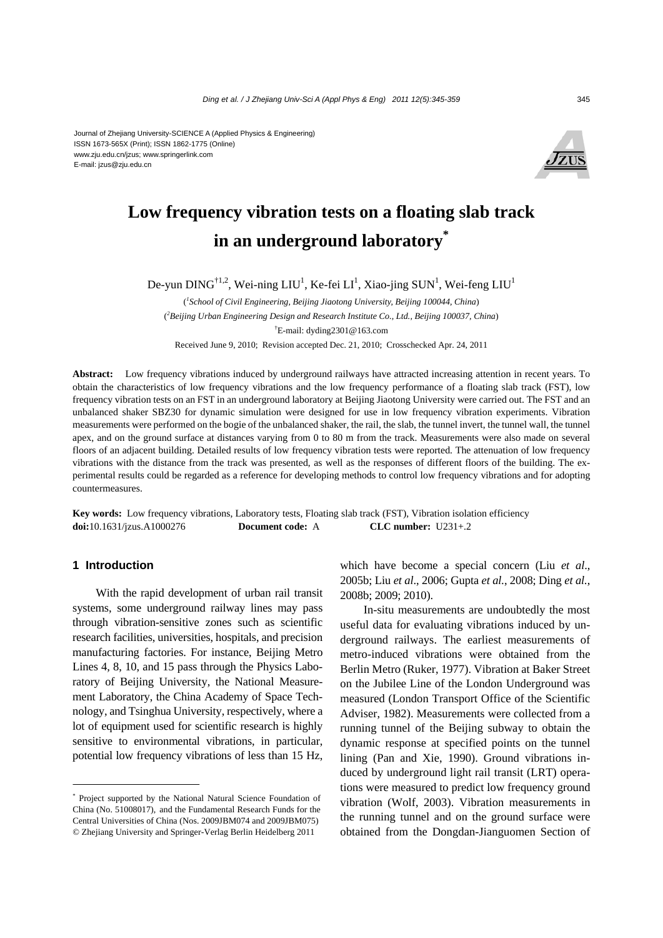

# **Low frequency vibration tests on a floating slab track in an underground laboratory\***

De-yun DING<sup>†1,2</sup>, Wei-ning LIU<sup>1</sup>, Ke-fei LI<sup>1</sup>, Xiao-jing SUN<sup>1</sup>, Wei-feng LIU<sup>1</sup>

( *1 School of Civil Engineering, Beijing Jiaotong University, Beijing 100044, China*) ( *2 Beijing Urban Engineering Design and Research Institute Co., Ltd., Beijing 100037, China*) † E-mail: dyding2301@163.com Received June 9, 2010; Revision accepted Dec. 21, 2010; Crosschecked Apr. 24, 2011

**Abstract:** Low frequency vibrations induced by underground railways have attracted increasing attention in recent years. To obtain the characteristics of low frequency vibrations and the low frequency performance of a floating slab track (FST), low frequency vibration tests on an FST in an underground laboratory at Beijing Jiaotong University were carried out. The FST and an unbalanced shaker SBZ30 for dynamic simulation were designed for use in low frequency vibration experiments. Vibration measurements were performed on the bogie of the unbalanced shaker, the rail, the slab, the tunnel invert, the tunnel wall, the tunnel apex, and on the ground surface at distances varying from 0 to 80 m from the track. Measurements were also made on several floors of an adjacent building. Detailed results of low frequency vibration tests were reported. The attenuation of low frequency vibrations with the distance from the track was presented, as well as the responses of different floors of the building. The experimental results could be regarded as a reference for developing methods to control low frequency vibrations and for adopting countermeasures.

**Key words:** Low frequency vibrations, Laboratory tests, Floating slab track (FST), Vibration isolation efficiency **doi:**10.1631/jzus.A1000276 **Document code:** A **CLC number:** U231+.2

## **1 Introduction**

With the rapid development of urban rail transit systems, some underground railway lines may pass through vibration-sensitive zones such as scientific research facilities, universities, hospitals, and precision manufacturing factories. For instance, Beijing Metro Lines 4, 8, 10, and 15 pass through the Physics Laboratory of Beijing University, the National Measurement Laboratory, the China Academy of Space Technology, and Tsinghua University, respectively, where a lot of equipment used for scientific research is highly sensitive to environmental vibrations, in particular, potential low frequency vibrations of less than 15 Hz,

which have become a special concern (Liu *et al*., 2005b; Liu *et al*., 2006; Gupta *et al.*, 2008; Ding *et al.*, 2008b; 2009; 2010).

In-situ measurements are undoubtedly the most useful data for evaluating vibrations induced by underground railways. The earliest measurements of metro-induced vibrations were obtained from the Berlin Metro (Ruker, 1977). Vibration at Baker Street on the Jubilee Line of the London Underground was measured (London Transport Office of the Scientific Adviser, 1982). Measurements were collected from a running tunnel of the Beijing subway to obtain the dynamic response at specified points on the tunnel lining (Pan and Xie, 1990). Ground vibrations induced by underground light rail transit (LRT) operations were measured to predict low frequency ground vibration (Wolf, 2003). Vibration measurements in the running tunnel and on the ground surface were obtained from the Dongdan-Jianguomen Section of

<sup>\*</sup> Project supported by the National Natural Science Foundation of China (No. 51008017), and the Fundamental Research Funds for the Central Universities of China (Nos. 2009JBM074 and 2009JBM075) © Zhejiang University and Springer-Verlag Berlin Heidelberg 2011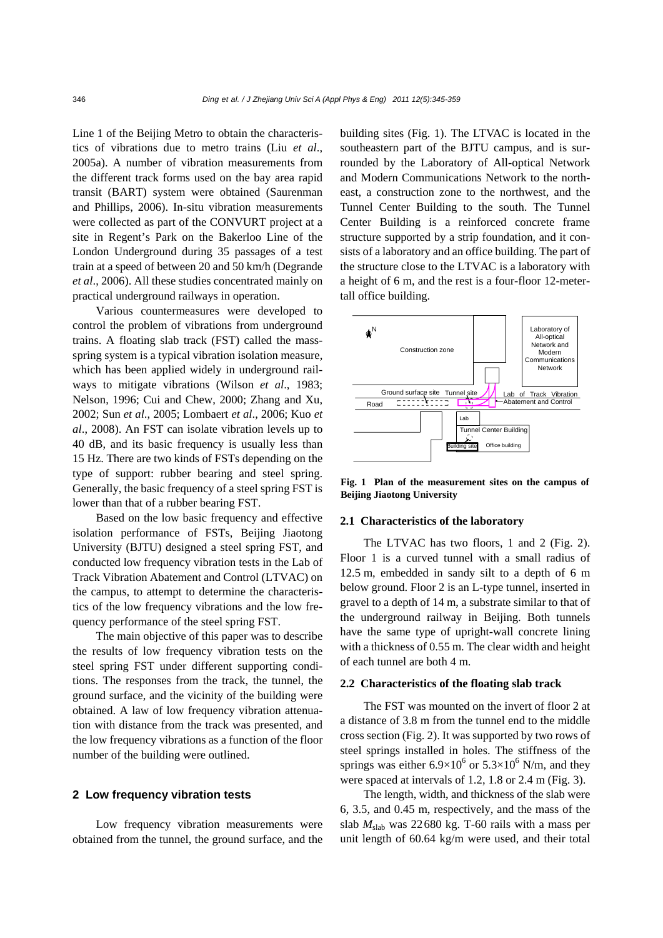Line 1 of the Beijing Metro to obtain the characteristics of vibrations due to metro trains (Liu *et al*., 2005a). A number of vibration measurements from the different track forms used on the bay area rapid transit (BART) system were obtained (Saurenman and Phillips, 2006). In-situ vibration measurements were collected as part of the CONVURT project at a site in Regent's Park on the Bakerloo Line of the London Underground during 35 passages of a test train at a speed of between 20 and 50 km/h (Degrande *et al*., 2006). All these studies concentrated mainly on practical underground railways in operation.

Various countermeasures were developed to control the problem of vibrations from underground trains. A floating slab track (FST) called the massspring system is a typical vibration isolation measure, which has been applied widely in underground railways to mitigate vibrations (Wilson *et al*., 1983; Nelson, 1996; Cui and Chew, 2000; Zhang and Xu, 2002; Sun *et al*., 2005; Lombaert *et al*., 2006; Kuo *et al*., 2008). An FST can isolate vibration levels up to 40 dB, and its basic frequency is usually less than 15 Hz. There are two kinds of FSTs depending on the type of support: rubber bearing and steel spring. Generally, the basic frequency of a steel spring FST is lower than that of a rubber bearing FST.

Based on the low basic frequency and effective isolation performance of FSTs, Beijing Jiaotong University (BJTU) designed a steel spring FST, and conducted low frequency vibration tests in the Lab of Track Vibration Abatement and Control (LTVAC) on the campus, to attempt to determine the characteristics of the low frequency vibrations and the low frequency performance of the steel spring FST.

The main objective of this paper was to describe the results of low frequency vibration tests on the steel spring FST under different supporting conditions. The responses from the track, the tunnel, the ground surface, and the vicinity of the building were obtained. A law of low frequency vibration attenuation with distance from the track was presented, and the low frequency vibrations as a function of the floor number of the building were outlined.

## **2 Low frequency vibration tests**

Low frequency vibration measurements were obtained from the tunnel, the ground surface, and the building sites (Fig. 1). The LTVAC is located in the southeastern part of the BJTU campus, and is surrounded by the Laboratory of All-optical Network and Modern Communications Network to the northeast, a construction zone to the northwest, and the Tunnel Center Building to the south. The Tunnel Center Building is a reinforced concrete frame structure supported by a strip foundation, and it consists of a laboratory and an office building. The part of the structure close to the LTVAC is a laboratory with a height of 6 m, and the rest is a four-floor 12-metertall office building.



**Fig. 1 Plan of the measurement sites on the campus of Beijing Jiaotong University** 

#### **2.1 Characteristics of the laboratory**

The LTVAC has two floors, 1 and 2 (Fig. 2). Floor 1 is a curved tunnel with a small radius of 12.5 m, embedded in sandy silt to a depth of 6 m below ground. Floor 2 is an L-type tunnel, inserted in gravel to a depth of 14 m, a substrate similar to that of the underground railway in Beijing. Both tunnels have the same type of upright-wall concrete lining with a thickness of 0.55 m. The clear width and height of each tunnel are both 4 m.

### **2.2 Characteristics of the floating slab track**

The FST was mounted on the invert of floor 2 at a distance of 3.8 m from the tunnel end to the middle cross section (Fig. 2). It was supported by two rows of steel springs installed in holes. The stiffness of the springs was either  $6.9 \times 10^6$  or  $5.3 \times 10^6$  N/m, and they were spaced at intervals of 1.2, 1.8 or 2.4 m (Fig. 3).

The length, width, and thickness of the slab were 6, 3.5, and 0.45 m, respectively, and the mass of the slab  $M_{slab}$  was 22680 kg. T-60 rails with a mass per unit length of 60.64 kg/m were used, and their total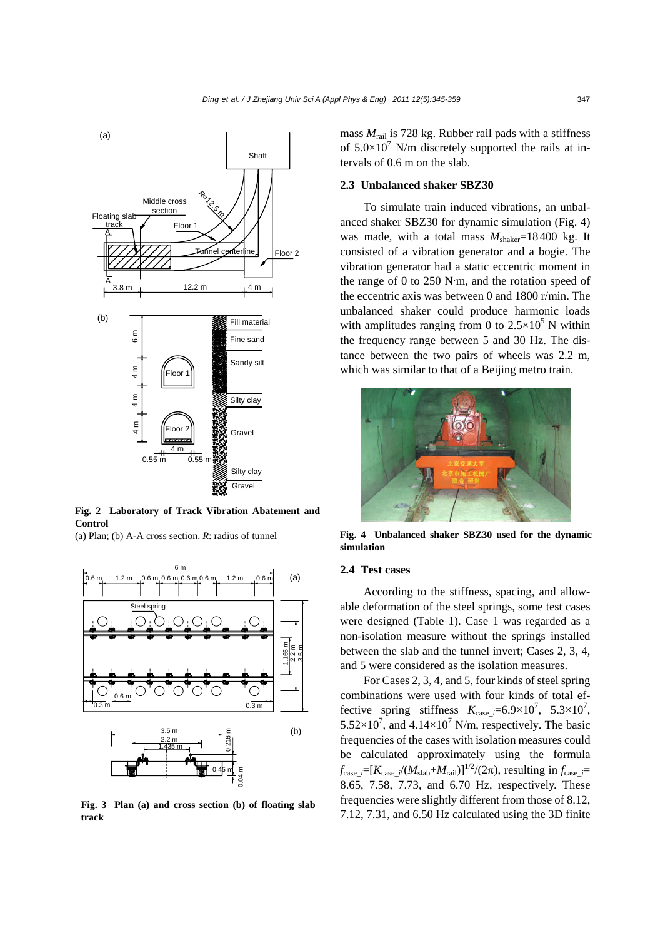

**Fig. 2 Laboratory of Track Vibration Abatement and Control** 

(a) Plan; (b) A-A cross section. *R*: radius of tunnel



**Fig. 3 Plan (a) and cross section (b) of floating slab track** 

mass *M*rail is 728 kg. Rubber rail pads with a stiffness of  $5.0 \times 10^7$  N/m discretely supported the rails at intervals of 0.6 m on the slab.

## **2.3 Unbalanced shaker SBZ30**

To simulate train induced vibrations, an unbalanced shaker SBZ30 for dynamic simulation (Fig. 4) was made, with a total mass  $M_{\text{shaker}}$ =18400 kg. It consisted of a vibration generator and a bogie. The vibration generator had a static eccentric moment in the range of 0 to 250 N·m, and the rotation speed of the eccentric axis was between 0 and 1800 r/min. The unbalanced shaker could produce harmonic loads with amplitudes ranging from 0 to  $2.5 \times 10^5$  N within the frequency range between 5 and 30 Hz. The distance between the two pairs of wheels was 2.2 m, which was similar to that of a Beijing metro train.



**Fig. 4 Unbalanced shaker SBZ30 used for the dynamic simulation**

## **2.4 Test cases**

According to the stiffness, spacing, and allowable deformation of the steel springs, some test cases were designed (Table 1). Case 1 was regarded as a non-isolation measure without the springs installed between the slab and the tunnel invert; Cases 2, 3, 4, and 5 were considered as the isolation measures.

For Cases 2, 3, 4, and 5, four kinds of steel spring combinations were used with four kinds of total effective spring stiffness  $K_{\text{case}\_\ell} = 6.9 \times 10^7$ ,  $5.3 \times 10^7$ ,  $5.52 \times 10^7$ , and  $4.14 \times 10^7$  N/m, respectively. The basic frequencies of the cases with isolation measures could be calculated approximately using the formula  $f_{\text{case}\_\ell} = [K_{\text{case}\_\ell}/(M_{\text{slab}}+M_{\text{tail}})]^{1/2}/(2\pi)$ , resulting in  $f_{\text{case}\_\ell} =$ 8.65, 7.58, 7.73, and 6.70 Hz, respectively. These frequencies were slightly different from those of 8.12, 7.12, 7.31, and 6.50 Hz calculated using the 3D finite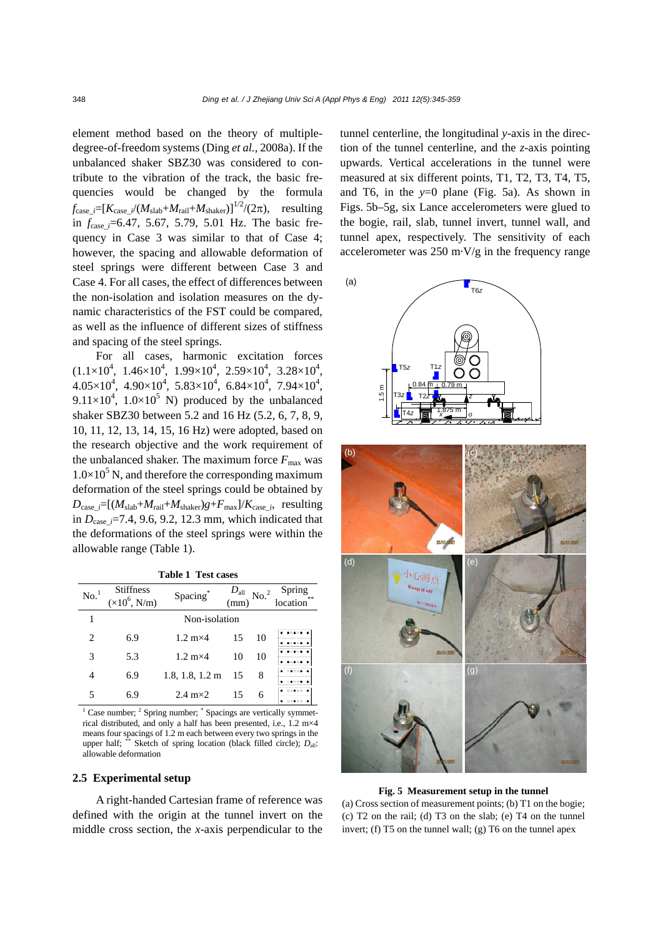element method based on the theory of multipledegree-of-freedom systems (Ding *et al.*, 2008a). If the unbalanced shaker SBZ30 was considered to contribute to the vibration of the track, the basic frequencies would be changed by the formula  $f_{\text{case}} := [K_{\text{case}} / (M_{\text{slab}} + M_{\text{tail}} + M_{\text{shaker}})]^{1/2} / (2\pi)$ , resulting in *f*case*\_i*=6.47, 5.67, 5.79, 5.01 Hz. The basic frequency in Case 3 was similar to that of Case 4; however, the spacing and allowable deformation of steel springs were different between Case 3 and Case 4. For all cases, the effect of differences between the non-isolation and isolation measures on the dynamic characteristics of the FST could be compared, as well as the influence of different sizes of stiffness and spacing of the steel springs.

For all cases, harmonic excitation forces  $(1.1\times10^4, 1.46\times10^4, 1.99\times10^4, 2.59\times10^4, 3.28\times10^4,$  $4.05\times10^4$ ,  $4.90\times10^4$ ,  $5.83\times10^4$ ,  $6.84\times10^4$ ,  $7.94\times10^4$ ,  $9.11 \times 10^4$ ,  $1.0 \times 10^5$  N) produced by the unbalanced shaker SBZ30 between 5.2 and 16 Hz (5.2, 6, 7, 8, 9, 10, 11, 12, 13, 14, 15, 16 Hz) were adopted, based on the research objective and the work requirement of the unbalanced shaker. The maximum force  $F_{\text{max}}$  was  $1.0\times10^5$  N, and therefore the corresponding maximum deformation of the steel springs could be obtained by  $D_{\text{case}\_\mathit{i}}=[(M_{\text{slab}}+M_{\text{real}}+M_{\text{shaker}})g+F_{\text{max}}]/K_{\text{case}\_\mathit{i}}$ , resulting in  $D_{\text{case}}$   $=7.4$ , 9.6, 9.2, 12.3 mm, which indicated that the deformations of the steel springs were within the allowable range (Table 1).

| <b>Table 1 Test cases</b> |  |  |
|---------------------------|--|--|
|---------------------------|--|--|

| No. <sup>1</sup> | Stiffness<br>$(\times 10^6, N/m)$ | Spacing                   | $D_{\text{all}}$<br>(mm) | No. <sup>2</sup> | Spring<br>location** |
|------------------|-----------------------------------|---------------------------|--------------------------|------------------|----------------------|
|                  |                                   | Non-isolation             |                          |                  |                      |
| 2                | 6.9                               | $1.2 \text{ m} \times 4$  | 15                       | 10               |                      |
| 3                | 5.3                               | $1.2 \text{ m} \times 4$  | 10                       | 10               |                      |
| 4                | 6.9                               | $1.8, 1.8, 1.2 \text{ m}$ | 15                       | 8                | 0.0001               |
| 5                | 6.9                               | 2.4 $m \times 2$          | 15                       | 6                | 0.00000<br>0.00000   |

<sup>1</sup> Case number; <sup>2</sup> Spring number; <sup>\*</sup> Spacings are vertically symmetrical distributed, and only a half has been presented, i.e., 1.2 m×4 means four spacings of 1.2 m each between every two springs in the upper half; \*\* Sketch of spring location (black filled circle); *D*<sub>all</sub>: allowable deformation

#### **2.5 Experimental setup**

A right-handed Cartesian frame of reference was defined with the origin at the tunnel invert on the middle cross section, the *x*-axis perpendicular to the

tunnel centerline, the longitudinal *y*-axis in the direction of the tunnel centerline, and the *z*-axis pointing upwards. Vertical accelerations in the tunnel were measured at six different points, T1, T2, T3, T4, T5, and T6, in the *y*=0 plane (Fig. 5a). As shown in Figs. 5b–5g, six Lance accelerometers were glued to the bogie, rail, slab, tunnel invert, tunnel wall, and tunnel apex, respectively. The sensitivity of each accelerometer was 250 m·V/g in the frequency range



**Fig. 5 Measurement setup in the tunnel**  (a) Cross section of measurement points; (b) T1 on the bogie; (c) T2 on the rail; (d) T3 on the slab; (e) T4 on the tunnel

invert; (f) T5 on the tunnel wall; (g) T6 on the tunnel apex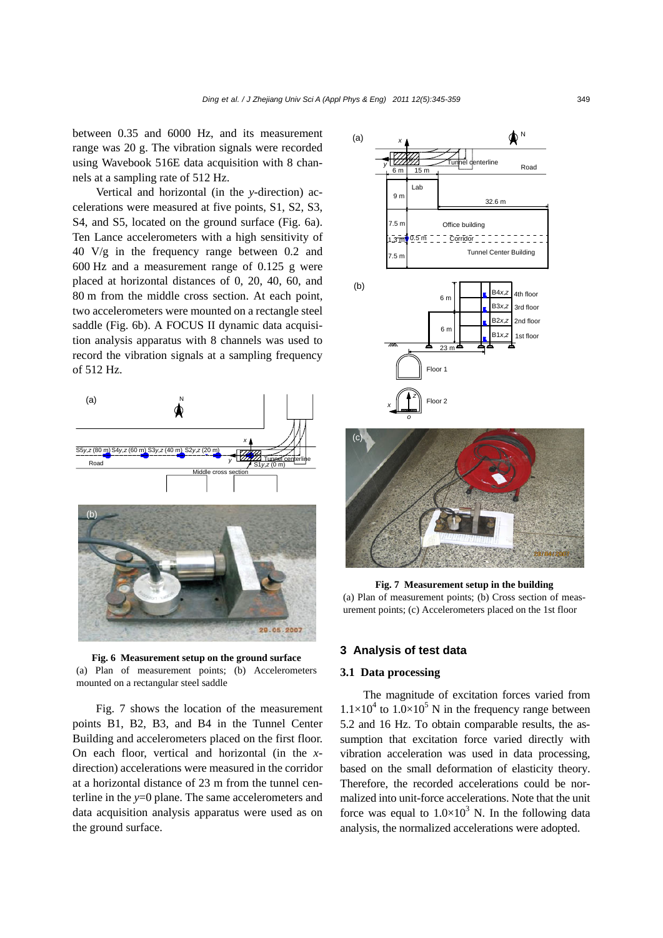between 0.35 and 6000 Hz, and its measurement range was 20 g. The vibration signals were recorded using Wavebook 516E data acquisition with 8 channels at a sampling rate of 512 Hz.

Vertical and horizontal (in the *y*-direction) accelerations were measured at five points, S1, S2, S3, S4, and S5, located on the ground surface (Fig. 6a). Ten Lance accelerometers with a high sensitivity of 40 V/g in the frequency range between 0.2 and 600 Hz and a measurement range of 0.125 g were placed at horizontal distances of 0, 20, 40, 60, and 80 m from the middle cross section. At each point, two accelerometers were mounted on a rectangle steel saddle (Fig. 6b). A FOCUS II dynamic data acquisition analysis apparatus with 8 channels was used to record the vibration signals at a sampling frequency of 512 Hz.



**Fig. 6 Measurement setup on the ground surface**  (a) Plan of measurement points; (b) Accelerometers mounted on a rectangular steel saddle

Fig. 7 shows the location of the measurement points B1, B2, B3, and B4 in the Tunnel Center Building and accelerometers placed on the first floor. On each floor, vertical and horizontal (in the *x*direction) accelerations were measured in the corridor at a horizontal distance of 23 m from the tunnel centerline in the *y*=0 plane. The same accelerometers and data acquisition analysis apparatus were used as on the ground surface.



**Fig. 7 Measurement setup in the building**  (a) Plan of measurement points; (b) Cross section of measurement points; (c) Accelerometers placed on the 1st floor

# **3 Analysis of test data**

## **3.1 Data processing**

The magnitude of excitation forces varied from  $1.1 \times 10^4$  to  $1.0 \times 10^5$  N in the frequency range between 5.2 and 16 Hz. To obtain comparable results, the assumption that excitation force varied directly with vibration acceleration was used in data processing, based on the small deformation of elasticity theory. Therefore, the recorded accelerations could be normalized into unit-force accelerations. Note that the unit force was equal to  $1.0 \times 10^3$  N. In the following data analysis, the normalized accelerations were adopted.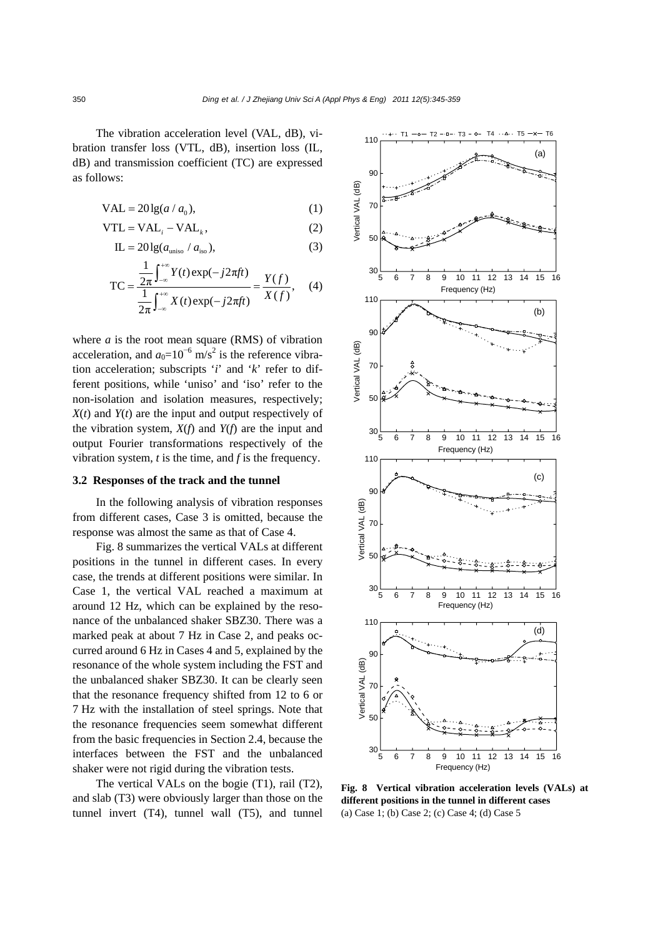The vibration acceleration level (VAL, dB), vibration transfer loss (VTL, dB), insertion loss (IL, dB) and transmission coefficient (TC) are expressed as follows:

$$
VAL = 20\lg(a/a_0),\tag{1}
$$

$$
VTL = VALi - VALk, \t(2)
$$

$$
IL = 20lg(auniso / aiso),
$$
\n(3)

$$
TC = \frac{\frac{1}{2\pi} \int_{-\infty}^{+\infty} Y(t) \exp(-j2\pi ft)}{\frac{1}{2\pi} \int_{-\infty}^{+\infty} X(t) \exp(-j2\pi ft)} = \frac{Y(f)}{X(f)}, \quad (4)
$$

where  $a$  is the root mean square (RMS) of vibration acceleration, and  $a_0=10^{-6}$  m/s<sup>2</sup> is the reference vibration acceleration; subscripts '*i*' and '*k*' refer to different positions, while 'uniso' and 'iso' refer to the non-isolation and isolation measures, respectively; *X*(*t*) and *Y*(*t*) are the input and output respectively of the vibration system, *X*(*f*) and *Y*(*f*) are the input and output Fourier transformations respectively of the vibration system, *t* is the time, and *f* is the frequency.

## **3.2 Responses of the track and the tunnel**

In the following analysis of vibration responses from different cases, Case 3 is omitted, because the response was almost the same as that of Case 4.

Fig. 8 summarizes the vertical VALs at different positions in the tunnel in different cases. In every case, the trends at different positions were similar. In Case 1, the vertical VAL reached a maximum at around 12 Hz, which can be explained by the resonance of the unbalanced shaker SBZ30. There was a marked peak at about 7 Hz in Case 2, and peaks occurred around 6 Hz in Cases 4 and 5, explained by the resonance of the whole system including the FST and the unbalanced shaker SBZ30. It can be clearly seen that the resonance frequency shifted from 12 to 6 or 7 Hz with the installation of steel springs. Note that the resonance frequencies seem somewhat different from the basic frequencies in Section 2.4, because the interfaces between the FST and the unbalanced shaker were not rigid during the vibration tests.

The vertical VALs on the bogie (T1), rail (T2), and slab (T3) were obviously larger than those on the tunnel invert (T4), tunnel wall (T5), and tunnel



**Fig. 8 Vertical vibration acceleration levels (VALs) at different positions in the tunnel in different cases**  (a) Case 1; (b) Case 2; (c) Case 4; (d) Case 5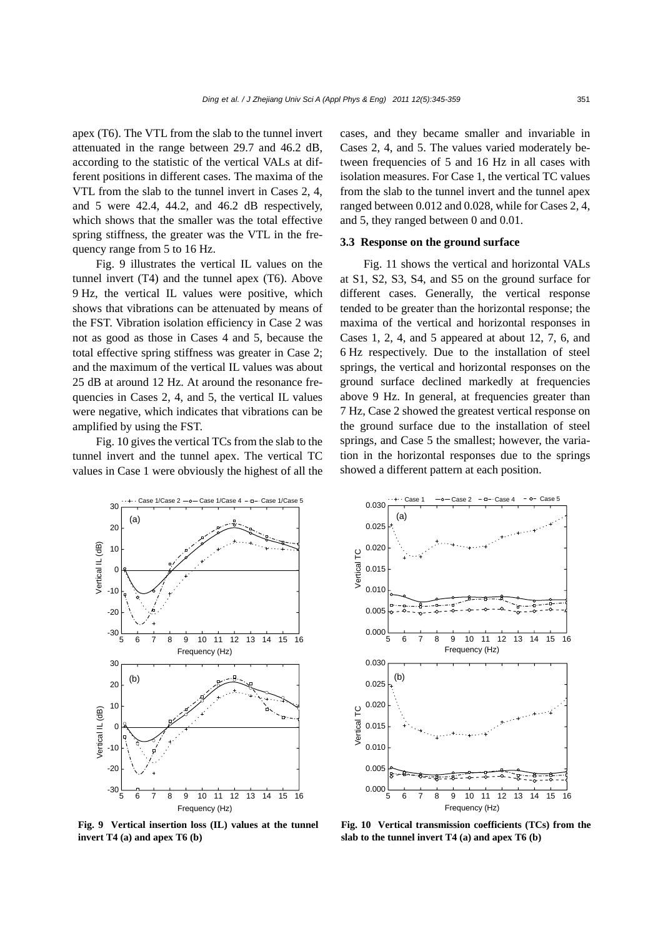apex (T6). The VTL from the slab to the tunnel invert attenuated in the range between 29.7 and 46.2 dB, according to the statistic of the vertical VALs at different positions in different cases. The maxima of the VTL from the slab to the tunnel invert in Cases 2, 4, and 5 were 42.4, 44.2, and 46.2 dB respectively, which shows that the smaller was the total effective spring stiffness, the greater was the VTL in the frequency range from 5 to 16 Hz.

Fig. 9 illustrates the vertical IL values on the tunnel invert (T4) and the tunnel apex (T6). Above 9 Hz, the vertical IL values were positive, which shows that vibrations can be attenuated by means of the FST. Vibration isolation efficiency in Case 2 was not as good as those in Cases 4 and 5, because the total effective spring stiffness was greater in Case 2; and the maximum of the vertical IL values was about 25 dB at around 12 Hz. At around the resonance frequencies in Cases 2, 4, and 5, the vertical IL values were negative, which indicates that vibrations can be amplified by using the FST.

Fig. 10 gives the vertical TCs from the slab to the tunnel invert and the tunnel apex. The vertical TC values in Case 1 were obviously the highest of all the cases, and they became smaller and invariable in Cases 2, 4, and 5. The values varied moderately between frequencies of 5 and 16 Hz in all cases with isolation measures. For Case 1, the vertical TC values from the slab to the tunnel invert and the tunnel apex ranged between 0.012 and 0.028, while for Cases 2, 4, and 5, they ranged between 0 and 0.01.

### **3.3 Response on the ground surface**

Fig. 11 shows the vertical and horizontal VALs at S1, S2, S3, S4, and S5 on the ground surface for different cases. Generally, the vertical response tended to be greater than the horizontal response; the maxima of the vertical and horizontal responses in Cases 1, 2, 4, and 5 appeared at about 12, 7, 6, and 6 Hz respectively. Due to the installation of steel springs, the vertical and horizontal responses on the ground surface declined markedly at frequencies above 9 Hz. In general, at frequencies greater than 7 Hz, Case 2 showed the greatest vertical response on the ground surface due to the installation of steel springs, and Case 5 the smallest; however, the variation in the horizontal responses due to the springs showed a different pattern at each position.



**Fig. 9 Vertical insertion loss (IL) values at the tunnel invert T4 (a) and apex T6 (b)**



**Fig. 10 Vertical transmission coefficients (TCs) from the slab to the tunnel invert T4 (a) and apex T6 (b)**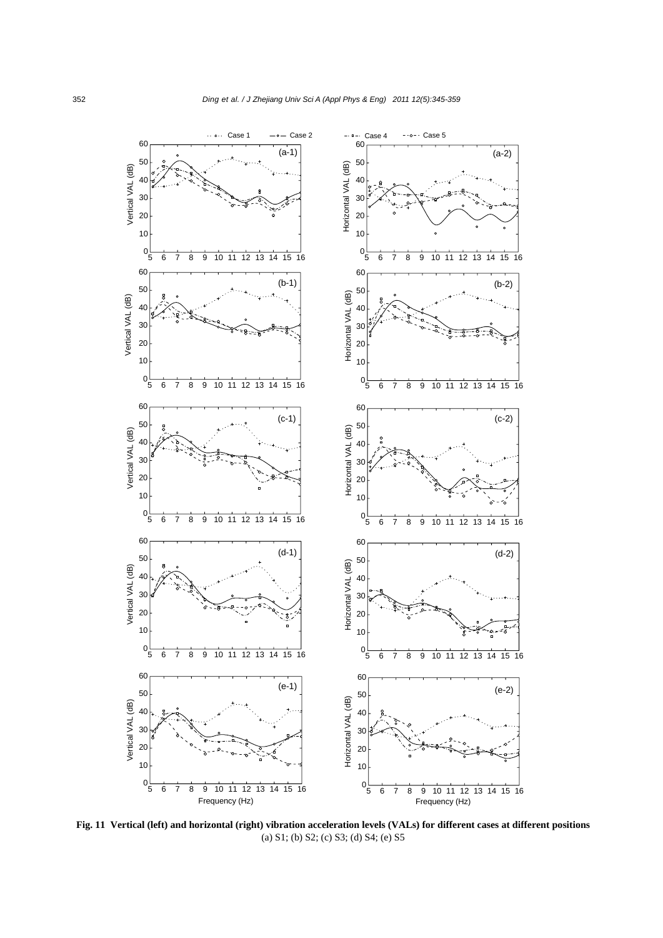

**Fig. 11 Vertical (left) and horizontal (right) vibration acceleration levels (VALs) for different cases at different positions** (a) S1; (b) S2; (c) S3; (d) S4; (e) S5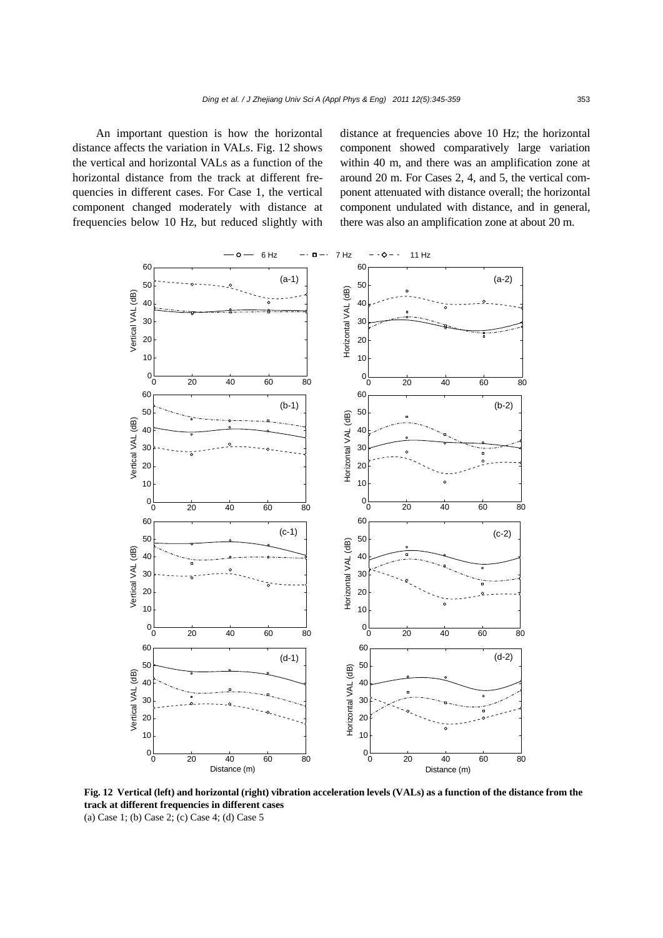An important question is how the horizontal distance affects the variation in VALs. Fig. 12 shows the vertical and horizontal VALs as a function of the horizontal distance from the track at different frequencies in different cases. For Case 1, the vertical component changed moderately with distance at frequencies below 10 Hz, but reduced slightly with distance at frequencies above 10 Hz; the horizontal component showed comparatively large variation within 40 m, and there was an amplification zone at around 20 m. For Cases 2, 4, and 5, the vertical component attenuated with distance overall; the horizontal component undulated with distance, and in general, there was also an amplification zone at about 20 m.



**Fig. 12 Vertical (left) and horizontal (right) vibration acceleration levels (VALs) as a function of the distance from the track at different frequencies in different cases** 

(a) Case 1; (b) Case 2; (c) Case 4; (d) Case 5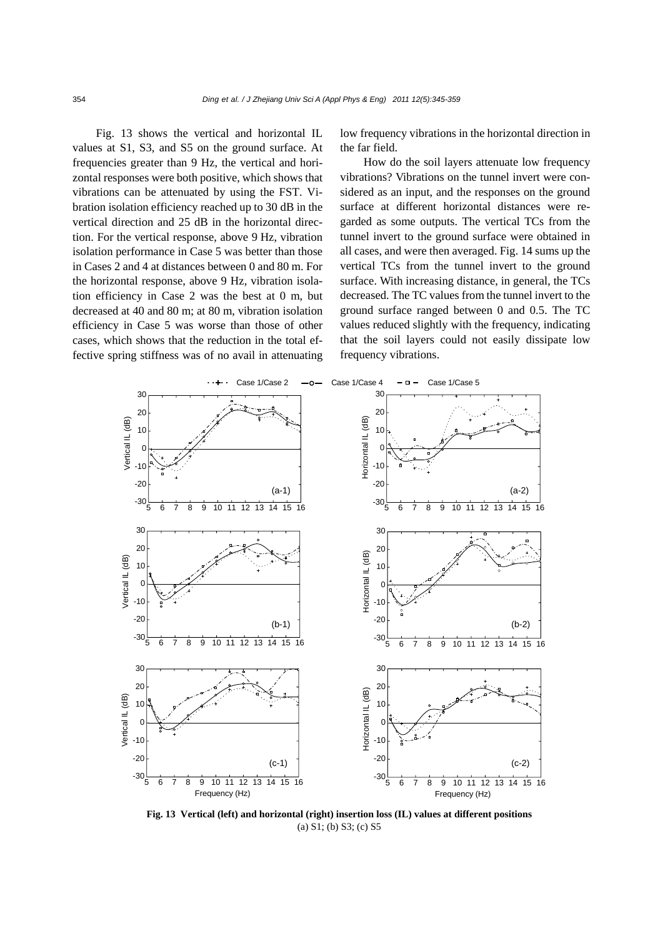Fig. 13 shows the vertical and horizontal IL values at S1, S3, and S5 on the ground surface. At frequencies greater than 9 Hz, the vertical and horizontal responses were both positive, which shows that vibrations can be attenuated by using the FST. Vibration isolation efficiency reached up to 30 dB in the vertical direction and 25 dB in the horizontal direction. For the vertical response, above 9 Hz, vibration isolation performance in Case 5 was better than those in Cases 2 and 4 at distances between 0 and 80 m. For the horizontal response, above 9 Hz, vibration isolation efficiency in Case 2 was the best at 0 m, but decreased at 40 and 80 m; at 80 m, vibration isolation efficiency in Case 5 was worse than those of other cases, which shows that the reduction in the total effective spring stiffness was of no avail in attenuating

low frequency vibrations in the horizontal direction in the far field.

How do the soil layers attenuate low frequency vibrations? Vibrations on the tunnel invert were considered as an input, and the responses on the ground surface at different horizontal distances were regarded as some outputs. The vertical TCs from the tunnel invert to the ground surface were obtained in all cases, and were then averaged. Fig. 14 sums up the vertical TCs from the tunnel invert to the ground surface. With increasing distance, in general, the TCs decreased. The TC values from the tunnel invert to the ground surface ranged between 0 and 0.5. The TC values reduced slightly with the frequency, indicating that the soil layers could not easily dissipate low frequency vibrations.



**Fig. 13 Vertical (left) and horizontal (right) insertion loss (IL) values at different positions**  (a) S1; (b) S3; (c) S5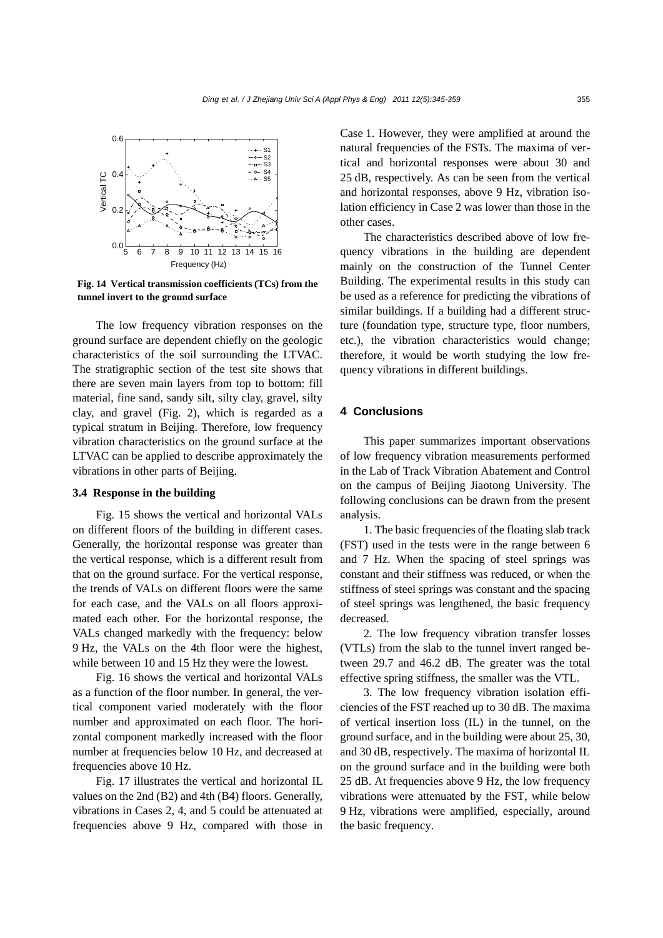

**Fig. 14 Vertical transmission coefficients (TCs) from the tunnel invert to the ground surface** 

The low frequency vibration responses on the ground surface are dependent chiefly on the geologic characteristics of the soil surrounding the LTVAC. The stratigraphic section of the test site shows that there are seven main layers from top to bottom: fill material, fine sand, sandy silt, silty clay, gravel, silty clay, and gravel (Fig. 2), which is regarded as a typical stratum in Beijing. Therefore, low frequency vibration characteristics on the ground surface at the LTVAC can be applied to describe approximately the vibrations in other parts of Beijing.

## **3.4 Response in the building**

Fig. 15 shows the vertical and horizontal VALs on different floors of the building in different cases. Generally, the horizontal response was greater than the vertical response, which is a different result from that on the ground surface. For the vertical response, the trends of VALs on different floors were the same for each case, and the VALs on all floors approximated each other. For the horizontal response, the VALs changed markedly with the frequency: below 9 Hz, the VALs on the 4th floor were the highest, while between 10 and 15 Hz they were the lowest.

Fig. 16 shows the vertical and horizontal VALs as a function of the floor number. In general, the vertical component varied moderately with the floor number and approximated on each floor. The horizontal component markedly increased with the floor number at frequencies below 10 Hz, and decreased at frequencies above 10 Hz.

Fig. 17 illustrates the vertical and horizontal IL values on the 2nd (B2) and 4th (B4) floors. Generally, vibrations in Cases 2, 4, and 5 could be attenuated at frequencies above 9 Hz, compared with those in

Case 1. However, they were amplified at around the natural frequencies of the FSTs. The maxima of vertical and horizontal responses were about 30 and 25 dB, respectively. As can be seen from the vertical and horizontal responses, above 9 Hz, vibration isolation efficiency in Case 2 was lower than those in the other cases.

The characteristics described above of low frequency vibrations in the building are dependent mainly on the construction of the Tunnel Center Building. The experimental results in this study can be used as a reference for predicting the vibrations of similar buildings. If a building had a different structure (foundation type, structure type, floor numbers, etc.), the vibration characteristics would change; therefore, it would be worth studying the low frequency vibrations in different buildings.

# **4 Conclusions**

This paper summarizes important observations of low frequency vibration measurements performed in the Lab of Track Vibration Abatement and Control on the campus of Beijing Jiaotong University. The following conclusions can be drawn from the present analysis.

1. The basic frequencies of the floating slab track (FST) used in the tests were in the range between 6 and 7 Hz. When the spacing of steel springs was constant and their stiffness was reduced, or when the stiffness of steel springs was constant and the spacing of steel springs was lengthened, the basic frequency decreased.

2. The low frequency vibration transfer losses (VTLs) from the slab to the tunnel invert ranged between 29.7 and 46.2 dB. The greater was the total effective spring stiffness, the smaller was the VTL.

3. The low frequency vibration isolation efficiencies of the FST reached up to 30 dB. The maxima of vertical insertion loss (IL) in the tunnel, on the ground surface, and in the building were about 25, 30, and 30 dB, respectively. The maxima of horizontal IL on the ground surface and in the building were both 25 dB. At frequencies above 9 Hz, the low frequency vibrations were attenuated by the FST, while below 9 Hz, vibrations were amplified, especially, around the basic frequency.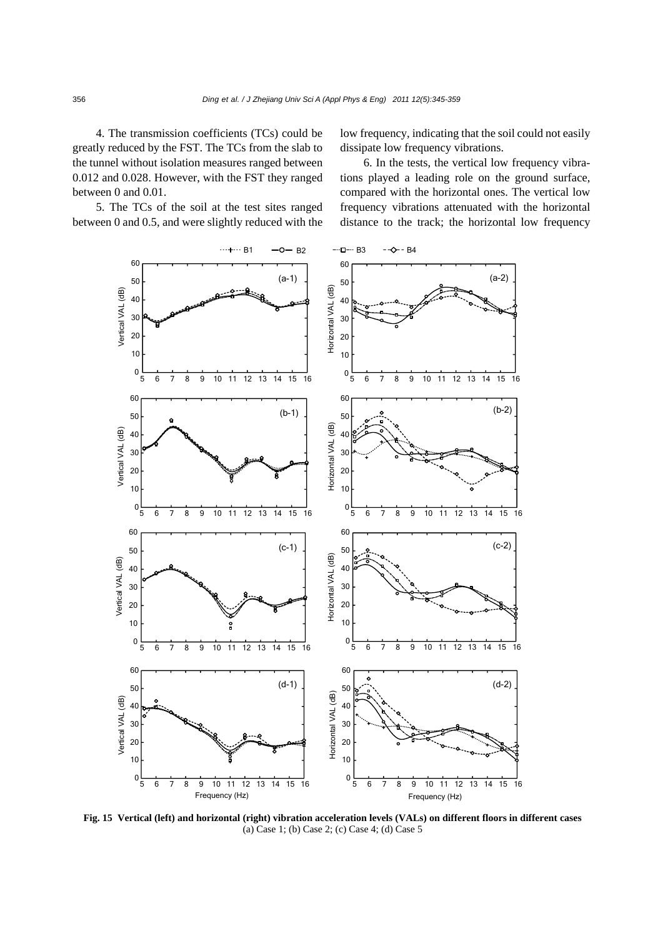4. The transmission coefficients (TCs) could be greatly reduced by the FST. The TCs from the slab to the tunnel without isolation measures ranged between 0.012 and 0.028. However, with the FST they ranged between 0 and 0.01.

5. The TCs of the soil at the test sites ranged between 0 and 0.5, and were slightly reduced with the low frequency, indicating that the soil could not easily dissipate low frequency vibrations.

6. In the tests, the vertical low frequency vibrations played a leading role on the ground surface, compared with the horizontal ones. The vertical low frequency vibrations attenuated with the horizontal distance to the track; the horizontal low frequency



**Fig. 15 Vertical (left) and horizontal (right) vibration acceleration levels (VALs) on different floors in different cases**  (a) Case 1; (b) Case 2; (c) Case 4; (d) Case 5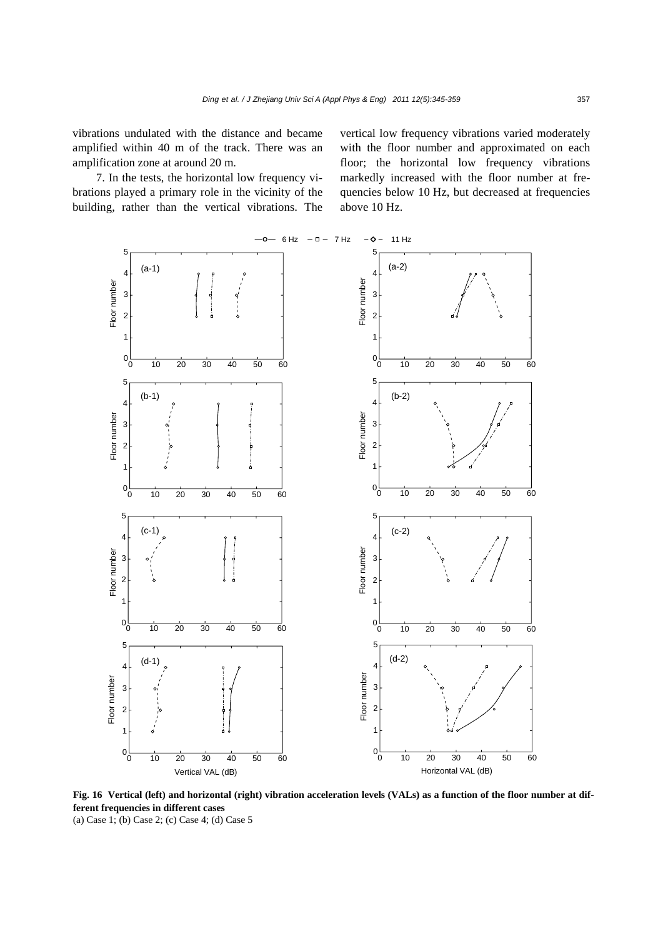vibrations undulated with the distance and became amplified within 40 m of the track. There was an amplification zone at around 20 m.

7. In the tests, the horizontal low frequency vibrations played a primary role in the vicinity of the building, rather than the vertical vibrations. The vertical low frequency vibrations varied moderately with the floor number and approximated on each floor; the horizontal low frequency vibrations markedly increased with the floor number at frequencies below 10 Hz, but decreased at frequencies above 10 Hz.



**Fig. 16 Vertical (left) and horizontal (right) vibration acceleration levels (VALs) as a function of the floor number at different frequencies in different cases** 

(a) Case 1; (b) Case 2; (c) Case 4; (d) Case 5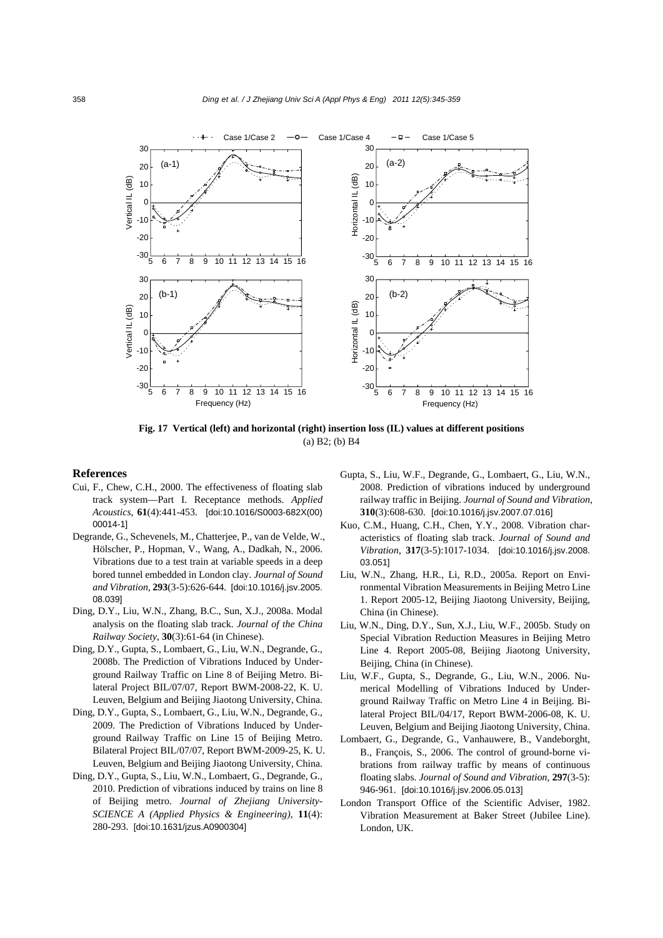

**Fig. 17 Vertical (left) and horizontal (right) insertion loss (IL) values at different positions**  (a) B2; (b) B4

#### **References**

- Cui, F., Chew, C.H., 2000. The effectiveness of floating slab track system—Part I. Receptance methods. *Applied Acoustics*, **61**(4):441-453. [doi:10.1016/S0003-682X(00) 00014-1]
- Degrande, G., Schevenels, M., Chatterjee, P., van de Velde, W., Hölscher, P., Hopman, V., Wang, A., Dadkah, N., 2006. Vibrations due to a test train at variable speeds in a deep bored tunnel embedded in London clay. *Journal of Sound and Vibration*, **293**(3-5):626-644. [doi:10.1016/j.jsv.2005. 08.039]
- Ding, D.Y., Liu, W.N., Zhang, B.C., Sun, X.J., 2008a. Modal analysis on the floating slab track. *Journal of the China Railway Society*, **30**(3):61-64 (in Chinese).
- Ding, D.Y., Gupta, S., Lombaert, G., Liu, W.N., Degrande, G., 2008b. The Prediction of Vibrations Induced by Underground Railway Traffic on Line 8 of Beijing Metro. Bilateral Project BIL/07/07, Report BWM-2008-22, K. U. Leuven, Belgium and Beijing Jiaotong University, China.
- Ding, D.Y., Gupta, S., Lombaert, G., Liu, W.N., Degrande, G., 2009. The Prediction of Vibrations Induced by Underground Railway Traffic on Line 15 of Beijing Metro. Bilateral Project BIL/07/07, Report BWM-2009-25, K. U. Leuven, Belgium and Beijing Jiaotong University, China.
- Ding, D.Y., Gupta, S., Liu, W.N., Lombaert, G., Degrande, G., 2010. Prediction of vibrations induced by trains on line 8 of Beijing metro. *Journal of Zhejiang University-SCIENCE A (Applied Physics & Engineering)*, **11**(4): 280-293. [doi:10.1631/jzus.A0900304]
- Gupta, S., Liu, W.F., Degrande, G., Lombaert, G., Liu, W.N., 2008. Prediction of vibrations induced by underground railway traffic in Beijing. *Journal of Sound and Vibration*, **310**(3):608-630. [doi:10.1016/j.jsv.2007.07.016]
- Kuo, C.M., Huang, C.H., Chen, Y.Y., 2008. Vibration characteristics of floating slab track. *Journal of Sound and Vibration*, **317**(3-5):1017-1034. [doi:10.1016/j.jsv.2008. 03.051]
- Liu, W.N., Zhang, H.R., Li, R.D., 2005a. Report on Environmental Vibration Measurements in Beijing Metro Line 1. Report 2005-12, Beijing Jiaotong University, Beijing, China (in Chinese).
- Liu, W.N., Ding, D.Y., Sun, X.J., Liu, W.F., 2005b. Study on Special Vibration Reduction Measures in Beijing Metro Line 4. Report 2005-08, Beijing Jiaotong University, Beijing, China (in Chinese).
- Liu, W.F., Gupta, S., Degrande, G., Liu, W.N., 2006. Numerical Modelling of Vibrations Induced by Underground Railway Traffic on Metro Line 4 in Beijing. Bilateral Project BIL/04/17, Report BWM-2006-08, K. U. Leuven, Belgium and Beijing Jiaotong University, China.
- Lombaert, G., Degrande, G., Vanhauwere, B., Vandeborght, B., François, S., 2006. The control of ground-borne vibrations from railway traffic by means of continuous floating slabs. *Journal of Sound and Vibration*, **297**(3-5): 946-961. [doi:10.1016/j.jsv.2006.05.013]
- London Transport Office of the Scientific Adviser, 1982. Vibration Measurement at Baker Street (Jubilee Line). London, UK.